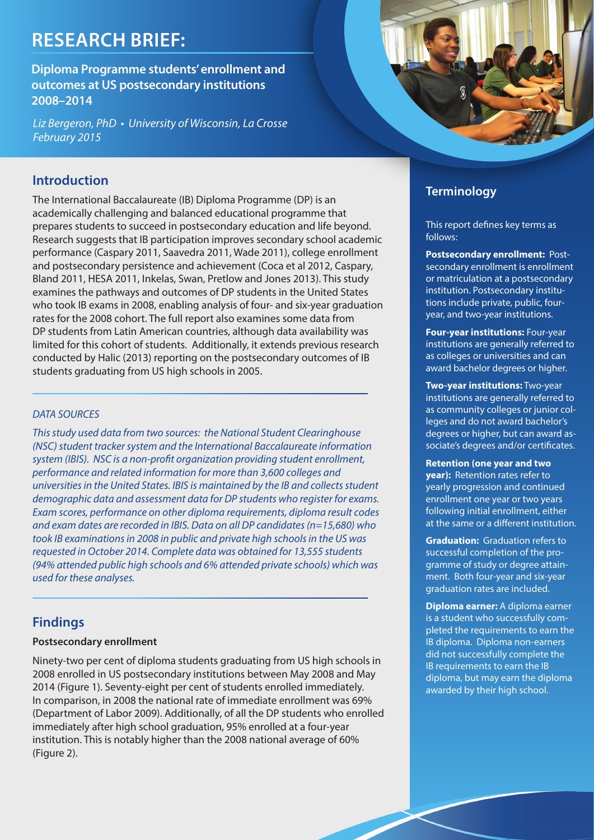# **Research Brief:**

**Diploma Programme students' enrollment and outcomes at US postsecondary institutions 2008–2014**

Liz Bergeron, PhD • University of Wisconsin, La Crosse February 2015

## **Introduction**

The International Baccalaureate (IB) Diploma Programme (DP) is an academically challenging and balanced educational programme that prepares students to succeed in postsecondary education and life beyond. Research suggests that IB participation improves secondary school academic performance (Caspary 2011, Saavedra 2011, Wade 2011), college enrollment and postsecondary persistence and achievement (Coca et al 2012, Caspary, Bland 2011, HESA 2011, Inkelas, Swan, Pretlow and Jones 2013). This study examines the pathways and outcomes of DP students in the United States who took IB exams in 2008, enabling analysis of four- and six-year graduation rates for the 2008 cohort. The full report also examines some data from DP students from Latin American countries, although data availability was limited for this cohort of students. Additionally, it extends previous research conducted by Halic (2013) reporting on the postsecondary outcomes of IB students graduating from US high schools in 2005.

## DATA SOURCES

This study used data from two sources: the National Student Clearinghouse (NSC) student tracker system and the International Baccalaureate information system (IBIS). NSC is a non-profit organization providing student enrollment, performance and related information for more than 3,600 colleges and universities in the United States. IBIS is maintained by the IB and collects student demographic data and assessment data for DP students who register for exams. Exam scores, performance on other diploma requirements, diploma result codes and exam dates are recorded in IBIS. Data on all DP candidates (n=15,680) who took IB examinations in 2008 in public and private high schools in the US was requested in October 2014. Complete data was obtained for 13,555 students (94% attended public high schools and 6% attended private schools) which was used for these analyses.

## **Findings**

### **Postsecondary enrollment**

Ninety-two per cent of diploma students graduating from US high schools in 2008 enrolled in US postsecondary institutions between May 2008 and May 2014 (Figure 1). Seventy-eight per cent of students enrolled immediately. In comparison, in 2008 the national rate of immediate enrollment was 69% (Department of Labor 2009). Additionally, of all the DP students who enrolled immediately after high school graduation, 95% enrolled at a four-year institution. This is notably higher than the 2008 national average of 60% (Figure 2).



# **Terminology**

This report defines key terms as follows:

**Postsecondary enrollment:** Postsecondary enrollment is enrollment or matriculation at a postsecondary institution. Postsecondary institutions include private, public, fouryear, and two-year institutions.

**Four-year institutions:** Four-year institutions are generally referred to as colleges or universities and can award bachelor degrees or higher.

**Two-year institutions:** Two-year institutions are generally referred to as community colleges or junior colleges and do not award bachelor's degrees or higher, but can award associate's degrees and/or certificates.

**Retention (one year and two** 

**year):** Retention rates refer to yearly progression and continued enrollment one year or two years following initial enrollment, either at the same or a different institution.

**Graduation:** Graduation refers to successful completion of the programme of study or degree attainment. Both four-year and six-year graduation rates are included.

**Diploma earner:** A diploma earner is a student who successfully completed the requirements to earn the IB diploma. Diploma non-earners did not successfully complete the IB requirements to earn the IB diploma, but may earn the diploma awarded by their high school.